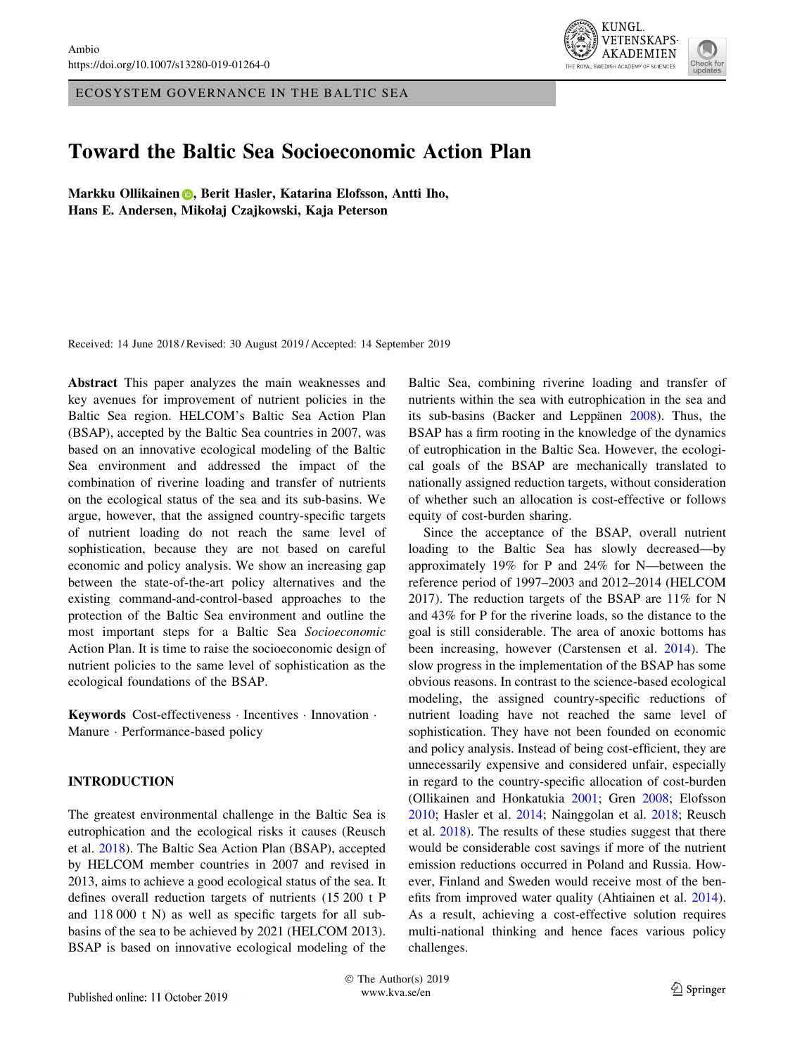ECOSYSTEM GOVERNANCE IN THE BALTIC SEA

# **VETENSKAPS AKADEMIEN** THE ROYAL SWEDISH ACADEMY OF SCIENCES

KUNGL



# Toward the Baltic Sea Socioeconomic Action Plan

Markku Ollikainen **D**, Berit Hasler, Katarina Elofsson, Antti Iho, Hans E. Andersen, Mikołaj Czajkowski, Kaja Peterson

Received: 14 June 2018 / Revised: 30 August 2019 / Accepted: 14 September 2019

Abstract This paper analyzes the main weaknesses and key avenues for improvement of nutrient policies in the Baltic Sea region. HELCOM's Baltic Sea Action Plan (BSAP), accepted by the Baltic Sea countries in 2007, was based on an innovative ecological modeling of the Baltic Sea environment and addressed the impact of the combination of riverine loading and transfer of nutrients on the ecological status of the sea and its sub-basins. We argue, however, that the assigned country-specific targets of nutrient loading do not reach the same level of sophistication, because they are not based on careful economic and policy analysis. We show an increasing gap between the state-of-the-art policy alternatives and the existing command-and-control-based approaches to the protection of the Baltic Sea environment and outline the most important steps for a Baltic Sea Socioeconomic Action Plan. It is time to raise the socioeconomic design of nutrient policies to the same level of sophistication as the ecological foundations of the BSAP.

Keywords Cost-effectiveness · Incentives · Innovation · Manure - Performance-based policy

## INTRODUCTION

The greatest environmental challenge in the Baltic Sea is eutrophication and the ecological risks it causes (Reusch et al. [2018](#page-10-0)). The Baltic Sea Action Plan (BSAP), accepted by HELCOM member countries in 2007 and revised in 2013, aims to achieve a good ecological status of the sea. It defines overall reduction targets of nutrients (15 200 t P and 118 000 t N) as well as specific targets for all subbasins of the sea to be achieved by 2021 (HELCOM 2013). BSAP is based on innovative ecological modeling of the Baltic Sea, combining riverine loading and transfer of nutrients within the sea with eutrophication in the sea and its sub-basins (Backer and Leppanen  $2008$ ). Thus, the BSAP has a firm rooting in the knowledge of the dynamics of eutrophication in the Baltic Sea. However, the ecological goals of the BSAP are mechanically translated to nationally assigned reduction targets, without consideration of whether such an allocation is cost-effective or follows equity of cost-burden sharing.

Since the acceptance of the BSAP, overall nutrient loading to the Baltic Sea has slowly decreased—by approximately 19% for P and 24% for N—between the reference period of 1997–2003 and 2012–2014 (HELCOM 2017). The reduction targets of the BSAP are 11% for N and 43% for P for the riverine loads, so the distance to the goal is still considerable. The area of anoxic bottoms has been increasing, however (Carstensen et al. [2014\)](#page-9-0). The slow progress in the implementation of the BSAP has some obvious reasons. In contrast to the science-based ecological modeling, the assigned country-specific reductions of nutrient loading have not reached the same level of sophistication. They have not been founded on economic and policy analysis. Instead of being cost-efficient, they are unnecessarily expensive and considered unfair, especially in regard to the country-specific allocation of cost-burden (Ollikainen and Honkatukia [2001](#page-10-0); Gren [2008](#page-9-0); Elofsson [2010](#page-9-0); Hasler et al. [2014;](#page-9-0) Nainggolan et al. [2018](#page-10-0); Reusch et al. [2018\)](#page-10-0). The results of these studies suggest that there would be considerable cost savings if more of the nutrient emission reductions occurred in Poland and Russia. However, Finland and Sweden would receive most of the benefits from improved water quality (Ahtiainen et al. [2014](#page-9-0)). As a result, achieving a cost-effective solution requires multi-national thinking and hence faces various policy challenges.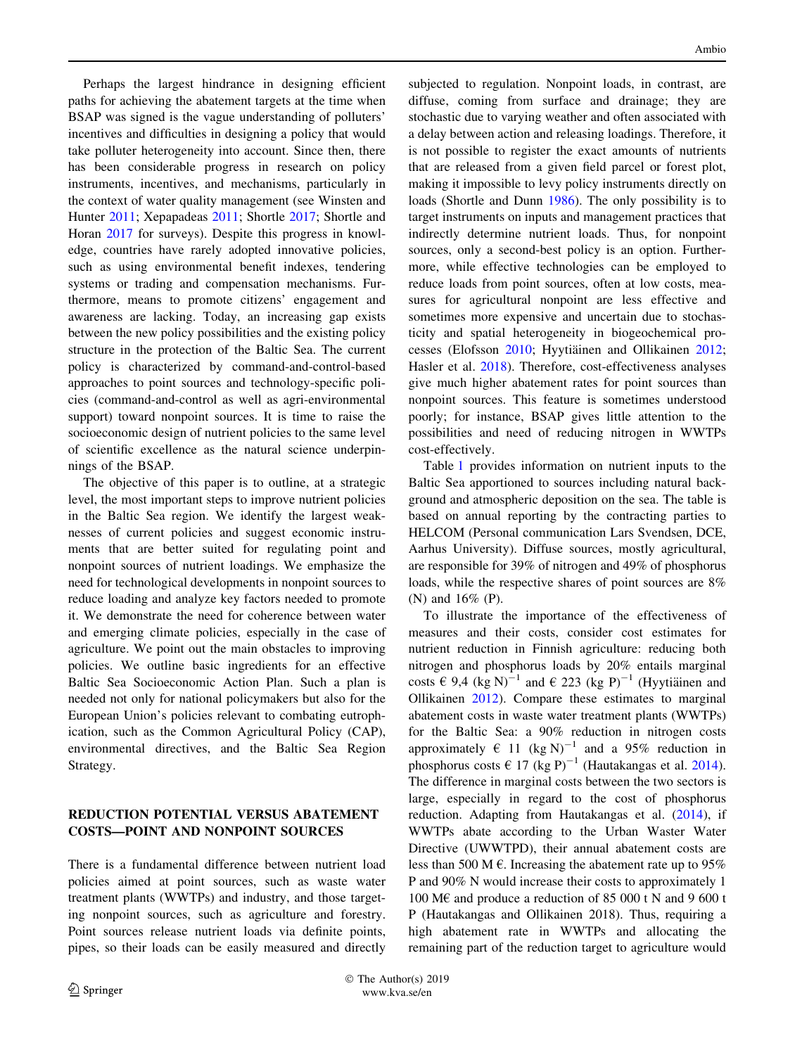Perhaps the largest hindrance in designing efficient paths for achieving the abatement targets at the time when BSAP was signed is the vague understanding of polluters' incentives and difficulties in designing a policy that would take polluter heterogeneity into account. Since then, there has been considerable progress in research on policy instruments, incentives, and mechanisms, particularly in the context of water quality management (see Winsten and Hunter [2011;](#page-10-0) Xepapadeas [2011](#page-10-0); Shortle [2017;](#page-10-0) Shortle and Horan [2017](#page-10-0) for surveys). Despite this progress in knowledge, countries have rarely adopted innovative policies, such as using environmental benefit indexes, tendering systems or trading and compensation mechanisms. Furthermore, means to promote citizens' engagement and awareness are lacking. Today, an increasing gap exists between the new policy possibilities and the existing policy structure in the protection of the Baltic Sea. The current policy is characterized by command-and-control-based approaches to point sources and technology-specific policies (command-and-control as well as agri-environmental support) toward nonpoint sources. It is time to raise the socioeconomic design of nutrient policies to the same level of scientific excellence as the natural science underpinnings of the BSAP.

The objective of this paper is to outline, at a strategic level, the most important steps to improve nutrient policies in the Baltic Sea region. We identify the largest weaknesses of current policies and suggest economic instruments that are better suited for regulating point and nonpoint sources of nutrient loadings. We emphasize the need for technological developments in nonpoint sources to reduce loading and analyze key factors needed to promote it. We demonstrate the need for coherence between water and emerging climate policies, especially in the case of agriculture. We point out the main obstacles to improving policies. We outline basic ingredients for an effective Baltic Sea Socioeconomic Action Plan. Such a plan is needed not only for national policymakers but also for the European Union's policies relevant to combating eutrophication, such as the Common Agricultural Policy (CAP), environmental directives, and the Baltic Sea Region Strategy.

# REDUCTION POTENTIAL VERSUS ABATEMENT COSTS—POINT AND NONPOINT SOURCES

There is a fundamental difference between nutrient load policies aimed at point sources, such as waste water treatment plants (WWTPs) and industry, and those targeting nonpoint sources, such as agriculture and forestry. Point sources release nutrient loads via definite points, pipes, so their loads can be easily measured and directly subjected to regulation. Nonpoint loads, in contrast, are diffuse, coming from surface and drainage; they are stochastic due to varying weather and often associated with a delay between action and releasing loadings. Therefore, it is not possible to register the exact amounts of nutrients that are released from a given field parcel or forest plot, making it impossible to levy policy instruments directly on loads (Shortle and Dunn [1986\)](#page-10-0). The only possibility is to target instruments on inputs and management practices that indirectly determine nutrient loads. Thus, for nonpoint sources, only a second-best policy is an option. Furthermore, while effective technologies can be employed to reduce loads from point sources, often at low costs, measures for agricultural nonpoint are less effective and sometimes more expensive and uncertain due to stochasticity and spatial heterogeneity in biogeochemical pro-cesses (Elofsson [2010;](#page-9-0) Hyytiäinen and Ollikainen [2012](#page-9-0); Hasler et al. [2018](#page-9-0)). Therefore, cost-effectiveness analyses give much higher abatement rates for point sources than nonpoint sources. This feature is sometimes understood poorly; for instance, BSAP gives little attention to the possibilities and need of reducing nitrogen in WWTPs cost-effectively.

Table [1](#page-2-0) provides information on nutrient inputs to the Baltic Sea apportioned to sources including natural background and atmospheric deposition on the sea. The table is based on annual reporting by the contracting parties to HELCOM (Personal communication Lars Svendsen, DCE, Aarhus University). Diffuse sources, mostly agricultural, are responsible for 39% of nitrogen and 49% of phosphorus loads, while the respective shares of point sources are 8% (N) and 16% (P).

To illustrate the importance of the effectiveness of measures and their costs, consider cost estimates for nutrient reduction in Finnish agriculture: reducing both nitrogen and phosphorus loads by 20% entails marginal costs  $\in$  9,4 (kg N)<sup>-1</sup> and  $\in$  223 (kg P)<sup>-1</sup> (Hyytianinen and Ollikainen [2012\)](#page-9-0). Compare these estimates to marginal abatement costs in waste water treatment plants (WWTPs) for the Baltic Sea: a 90% reduction in nitrogen costs approximately  $\in$  11 (kg N)<sup>-1</sup> and a 95% reduction in phosphorus costs  $\in$  17 (kg P)<sup>-1</sup> (Hautakangas et al. [2014](#page-9-0)). The difference in marginal costs between the two sectors is large, especially in regard to the cost of phosphorus reduction. Adapting from Hautakangas et al. [\(2014](#page-9-0)), if WWTPs abate according to the Urban Waster Water Directive (UWWTPD), their annual abatement costs are less than 500 M  $\epsilon$ . Increasing the abatement rate up to 95% P and 90% N would increase their costs to approximately 1 100 M€ and produce a reduction of 85 000 t N and 9 600 t P (Hautakangas and Ollikainen 2018). Thus, requiring a high abatement rate in WWTPs and allocating the remaining part of the reduction target to agriculture would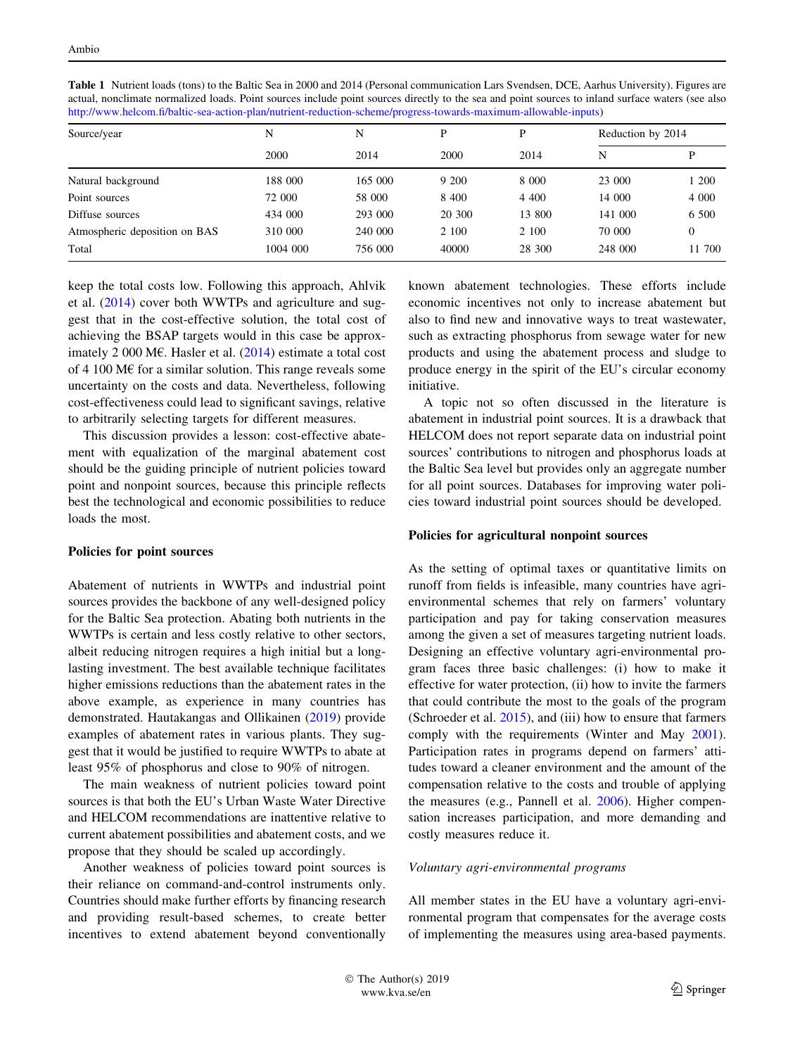<span id="page-2-0"></span>

| Table 1 Nutrient loads (tons) to the Baltic Sea in 2000 and 2014 (Personal communication Lars Svendsen, DCE, Aarhus University). Figures are      |  |
|---------------------------------------------------------------------------------------------------------------------------------------------------|--|
| actual, nonclimate normalized loads. Point sources include point sources directly to the sea and point sources to inland surface waters (see also |  |
| http://www.helcom.fi/baltic-sea-action-plan/nutrient-reduction-scheme/progress-towards-maximum-allowable-inputs)                                  |  |

| Source/year                   | N<br>2000 | N<br>2014 | P<br>2000 | P<br>2014 | Reduction by 2014 |          |
|-------------------------------|-----------|-----------|-----------|-----------|-------------------|----------|
|                               |           |           |           |           | N                 | D        |
| Natural background            | 188 000   | 165 000   | 9 200     | 8 0 0 0   | 23 000            | 1 200    |
| Point sources                 | 72 000    | 58 000    | 8 4 0 0   | 4 4 0 0   | 14 000            | 4 0 0 0  |
| Diffuse sources               | 434 000   | 293 000   | 20 300    | 13 800    | 141 000           | 6 500    |
| Atmospheric deposition on BAS | 310 000   | 240 000   | 2 100     | 2 100     | 70 000            | $\theta$ |
| Total                         | 1004 000  | 756 000   | 40000     | 28 300    | 248 000           | 11 700   |

keep the total costs low. Following this approach, Ahlvik et al. [\(2014](#page-9-0)) cover both WWTPs and agriculture and suggest that in the cost-effective solution, the total cost of achieving the BSAP targets would in this case be approximately 2 000 M€. Hasler et al. ([2014\)](#page-9-0) estimate a total cost of 4 100 M $\epsilon$  for a similar solution. This range reveals some uncertainty on the costs and data. Nevertheless, following cost-effectiveness could lead to significant savings, relative to arbitrarily selecting targets for different measures.

This discussion provides a lesson: cost-effective abatement with equalization of the marginal abatement cost should be the guiding principle of nutrient policies toward point and nonpoint sources, because this principle reflects best the technological and economic possibilities to reduce loads the most.

### Policies for point sources

Abatement of nutrients in WWTPs and industrial point sources provides the backbone of any well-designed policy for the Baltic Sea protection. Abating both nutrients in the WWTPs is certain and less costly relative to other sectors, albeit reducing nitrogen requires a high initial but a longlasting investment. The best available technique facilitates higher emissions reductions than the abatement rates in the above example, as experience in many countries has demonstrated. Hautakangas and Ollikainen [\(2019](#page-9-0)) provide examples of abatement rates in various plants. They suggest that it would be justified to require WWTPs to abate at least 95% of phosphorus and close to 90% of nitrogen.

The main weakness of nutrient policies toward point sources is that both the EU's Urban Waste Water Directive and HELCOM recommendations are inattentive relative to current abatement possibilities and abatement costs, and we propose that they should be scaled up accordingly.

Another weakness of policies toward point sources is their reliance on command-and-control instruments only. Countries should make further efforts by financing research and providing result-based schemes, to create better incentives to extend abatement beyond conventionally known abatement technologies. These efforts include economic incentives not only to increase abatement but also to find new and innovative ways to treat wastewater, such as extracting phosphorus from sewage water for new products and using the abatement process and sludge to produce energy in the spirit of the EU's circular economy initiative.

A topic not so often discussed in the literature is abatement in industrial point sources. It is a drawback that HELCOM does not report separate data on industrial point sources' contributions to nitrogen and phosphorus loads at the Baltic Sea level but provides only an aggregate number for all point sources. Databases for improving water policies toward industrial point sources should be developed.

## Policies for agricultural nonpoint sources

As the setting of optimal taxes or quantitative limits on runoff from fields is infeasible, many countries have agrienvironmental schemes that rely on farmers' voluntary participation and pay for taking conservation measures among the given a set of measures targeting nutrient loads. Designing an effective voluntary agri-environmental program faces three basic challenges: (i) how to make it effective for water protection, (ii) how to invite the farmers that could contribute the most to the goals of the program (Schroeder et al. [2015\)](#page-10-0), and (iii) how to ensure that farmers comply with the requirements (Winter and May [2001](#page-10-0)). Participation rates in programs depend on farmers' attitudes toward a cleaner environment and the amount of the compensation relative to the costs and trouble of applying the measures (e.g., Pannell et al. [2006](#page-10-0)). Higher compensation increases participation, and more demanding and costly measures reduce it.

#### Voluntary agri-environmental programs

All member states in the EU have a voluntary agri-environmental program that compensates for the average costs of implementing the measures using area-based payments.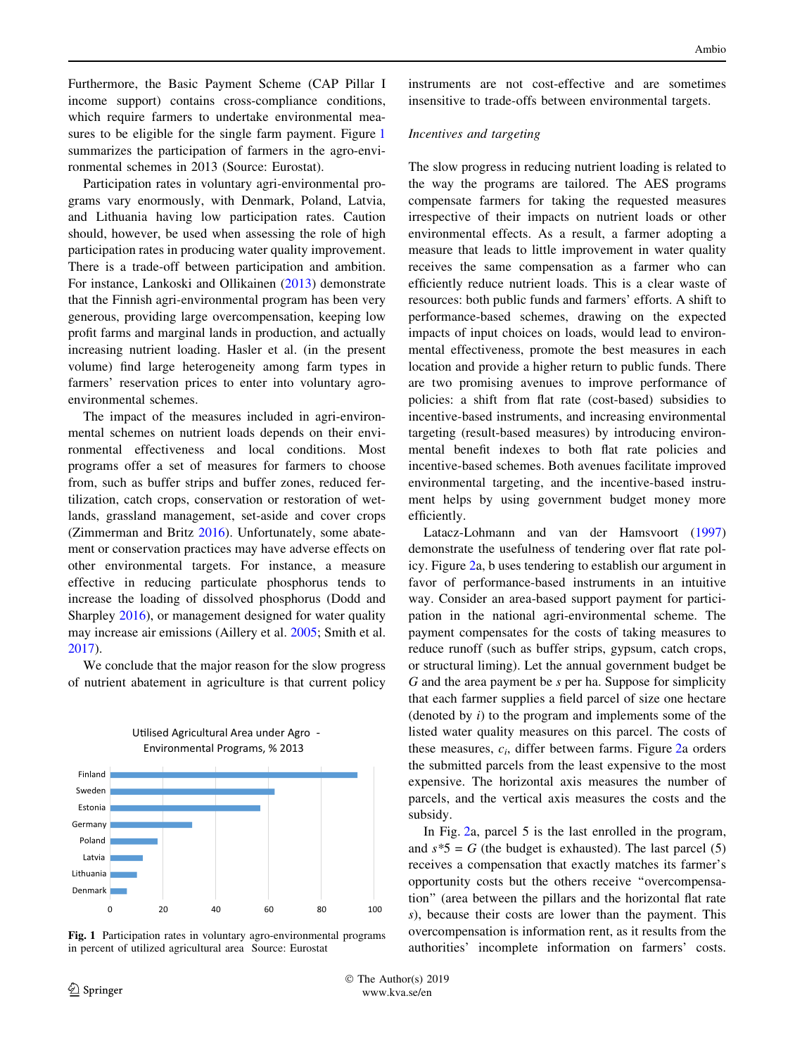Furthermore, the Basic Payment Scheme (CAP Pillar I income support) contains cross-compliance conditions, which require farmers to undertake environmental measures to be eligible for the single farm payment. Figure 1 summarizes the participation of farmers in the agro-environmental schemes in 2013 (Source: Eurostat).

Participation rates in voluntary agri-environmental programs vary enormously, with Denmark, Poland, Latvia, and Lithuania having low participation rates. Caution should, however, be used when assessing the role of high participation rates in producing water quality improvement. There is a trade-off between participation and ambition. For instance, Lankoski and Ollikainen ([2013\)](#page-10-0) demonstrate that the Finnish agri-environmental program has been very generous, providing large overcompensation, keeping low profit farms and marginal lands in production, and actually increasing nutrient loading. Hasler et al. (in the present volume) find large heterogeneity among farm types in farmers' reservation prices to enter into voluntary agroenvironmental schemes.

The impact of the measures included in agri-environmental schemes on nutrient loads depends on their environmental effectiveness and local conditions. Most programs offer a set of measures for farmers to choose from, such as buffer strips and buffer zones, reduced fertilization, catch crops, conservation or restoration of wetlands, grassland management, set-aside and cover crops (Zimmerman and Britz [2016\)](#page-10-0). Unfortunately, some abatement or conservation practices may have adverse effects on other environmental targets. For instance, a measure effective in reducing particulate phosphorus tends to increase the loading of dissolved phosphorus (Dodd and Sharpley [2016](#page-9-0)), or management designed for water quality may increase air emissions (Aillery et al. [2005;](#page-9-0) Smith et al. [2017\)](#page-10-0).

We conclude that the major reason for the slow progress of nutrient abatement in agriculture is that current policy



Fig. 1 Participation rates in voluntary agro-environmental programs in percent of utilized agricultural area Source: Eurostat

instruments are not cost-effective and are sometimes insensitive to trade-offs between environmental targets.

#### Incentives and targeting

The slow progress in reducing nutrient loading is related to the way the programs are tailored. The AES programs compensate farmers for taking the requested measures irrespective of their impacts on nutrient loads or other environmental effects. As a result, a farmer adopting a measure that leads to little improvement in water quality receives the same compensation as a farmer who can efficiently reduce nutrient loads. This is a clear waste of resources: both public funds and farmers' efforts. A shift to performance-based schemes, drawing on the expected impacts of input choices on loads, would lead to environmental effectiveness, promote the best measures in each location and provide a higher return to public funds. There are two promising avenues to improve performance of policies: a shift from flat rate (cost-based) subsidies to incentive-based instruments, and increasing environmental targeting (result-based measures) by introducing environmental benefit indexes to both flat rate policies and incentive-based schemes. Both avenues facilitate improved environmental targeting, and the incentive-based instrument helps by using government budget money more efficiently.

Latacz-Lohmann and van der Hamsvoort ([1997\)](#page-10-0) demonstrate the usefulness of tendering over flat rate policy. Figure [2a](#page-4-0), b uses tendering to establish our argument in favor of performance-based instruments in an intuitive way. Consider an area-based support payment for participation in the national agri-environmental scheme. The payment compensates for the costs of taking measures to reduce runoff (such as buffer strips, gypsum, catch crops, or structural liming). Let the annual government budget be G and the area payment be s per ha. Suppose for simplicity that each farmer supplies a field parcel of size one hectare (denoted by  $i$ ) to the program and implements some of the listed water quality measures on this parcel. The costs of these measures,  $c_i$ , differ between farms. Figure [2](#page-4-0)a orders the submitted parcels from the least expensive to the most expensive. The horizontal axis measures the number of parcels, and the vertical axis measures the costs and the subsidy.

In Fig. [2a](#page-4-0), parcel 5 is the last enrolled in the program, and  $s*5 = G$  (the budget is exhausted). The last parcel (5) receives a compensation that exactly matches its farmer's opportunity costs but the others receive ''overcompensation'' (area between the pillars and the horizontal flat rate s), because their costs are lower than the payment. This overcompensation is information rent, as it results from the authorities' incomplete information on farmers' costs.

 The Author(s) 2019 www.kva.se/en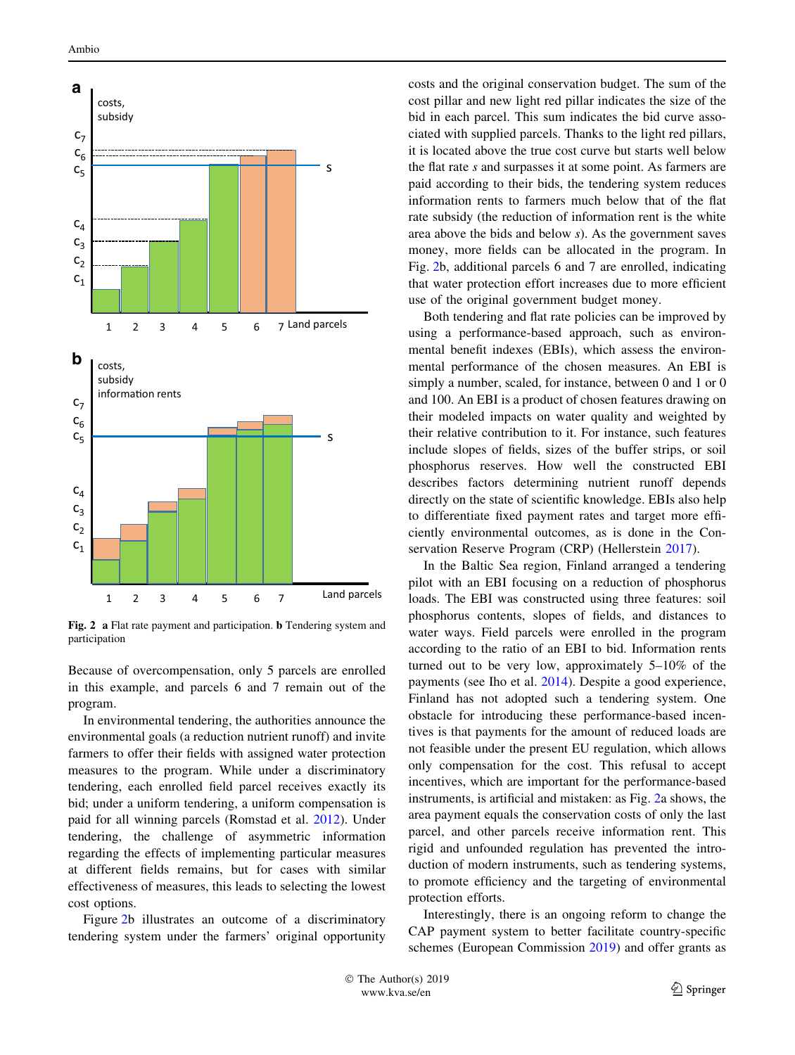<span id="page-4-0"></span>

Fig. 2 a Flat rate payment and participation. **b** Tendering system and participation

Because of overcompensation, only 5 parcels are enrolled in this example, and parcels 6 and 7 remain out of the program.

In environmental tendering, the authorities announce the environmental goals (a reduction nutrient runoff) and invite farmers to offer their fields with assigned water protection measures to the program. While under a discriminatory tendering, each enrolled field parcel receives exactly its bid; under a uniform tendering, a uniform compensation is paid for all winning parcels (Romstad et al. [2012\)](#page-10-0). Under tendering, the challenge of asymmetric information regarding the effects of implementing particular measures at different fields remains, but for cases with similar effectiveness of measures, this leads to selecting the lowest cost options.

Figure 2b illustrates an outcome of a discriminatory tendering system under the farmers' original opportunity

costs and the original conservation budget. The sum of the cost pillar and new light red pillar indicates the size of the bid in each parcel. This sum indicates the bid curve associated with supplied parcels. Thanks to the light red pillars, it is located above the true cost curve but starts well below the flat rate s and surpasses it at some point. As farmers are paid according to their bids, the tendering system reduces information rents to farmers much below that of the flat rate subsidy (the reduction of information rent is the white area above the bids and below s). As the government saves money, more fields can be allocated in the program. In Fig. 2b, additional parcels 6 and 7 are enrolled, indicating that water protection effort increases due to more efficient use of the original government budget money.

Both tendering and flat rate policies can be improved by using a performance-based approach, such as environmental benefit indexes (EBIs), which assess the environmental performance of the chosen measures. An EBI is simply a number, scaled, for instance, between 0 and 1 or 0 and 100. An EBI is a product of chosen features drawing on their modeled impacts on water quality and weighted by their relative contribution to it. For instance, such features include slopes of fields, sizes of the buffer strips, or soil phosphorus reserves. How well the constructed EBI describes factors determining nutrient runoff depends directly on the state of scientific knowledge. EBIs also help to differentiate fixed payment rates and target more efficiently environmental outcomes, as is done in the Conservation Reserve Program (CRP) (Hellerstein [2017\)](#page-9-0).

In the Baltic Sea region, Finland arranged a tendering pilot with an EBI focusing on a reduction of phosphorus loads. The EBI was constructed using three features: soil phosphorus contents, slopes of fields, and distances to water ways. Field parcels were enrolled in the program according to the ratio of an EBI to bid. Information rents turned out to be very low, approximately 5–10% of the payments (see Iho et al. [2014\)](#page-9-0). Despite a good experience, Finland has not adopted such a tendering system. One obstacle for introducing these performance-based incentives is that payments for the amount of reduced loads are not feasible under the present EU regulation, which allows only compensation for the cost. This refusal to accept incentives, which are important for the performance-based instruments, is artificial and mistaken: as Fig. 2a shows, the area payment equals the conservation costs of only the last parcel, and other parcels receive information rent. This rigid and unfounded regulation has prevented the introduction of modern instruments, such as tendering systems, to promote efficiency and the targeting of environmental protection efforts.

Interestingly, there is an ongoing reform to change the CAP payment system to better facilitate country-specific schemes (European Commission [2019\)](#page-9-0) and offer grants as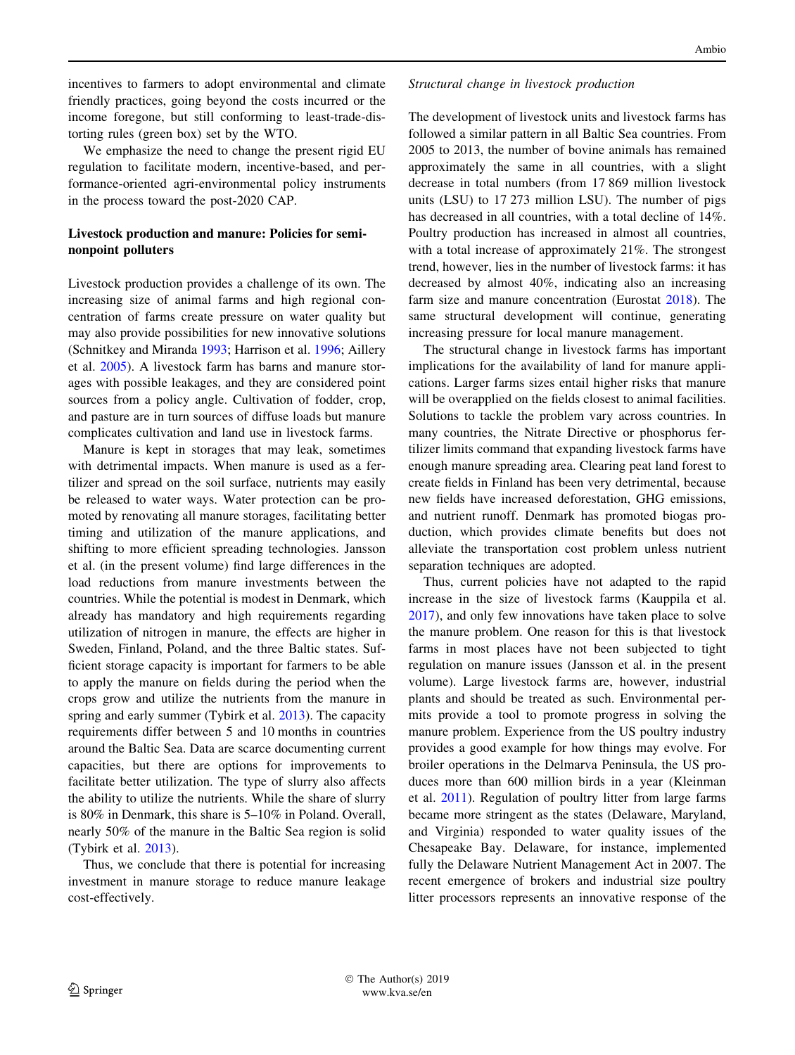incentives to farmers to adopt environmental and climate friendly practices, going beyond the costs incurred or the income foregone, but still conforming to least-trade-distorting rules (green box) set by the WTO.

We emphasize the need to change the present rigid EU regulation to facilitate modern, incentive-based, and performance-oriented agri-environmental policy instruments in the process toward the post-2020 CAP.

# Livestock production and manure: Policies for seminonpoint polluters

Livestock production provides a challenge of its own. The increasing size of animal farms and high regional concentration of farms create pressure on water quality but may also provide possibilities for new innovative solutions (Schnitkey and Miranda [1993](#page-10-0); Harrison et al. [1996](#page-9-0); Aillery et al. [2005](#page-9-0)). A livestock farm has barns and manure storages with possible leakages, and they are considered point sources from a policy angle. Cultivation of fodder, crop, and pasture are in turn sources of diffuse loads but manure complicates cultivation and land use in livestock farms.

Manure is kept in storages that may leak, sometimes with detrimental impacts. When manure is used as a fertilizer and spread on the soil surface, nutrients may easily be released to water ways. Water protection can be promoted by renovating all manure storages, facilitating better timing and utilization of the manure applications, and shifting to more efficient spreading technologies. Jansson et al. (in the present volume) find large differences in the load reductions from manure investments between the countries. While the potential is modest in Denmark, which already has mandatory and high requirements regarding utilization of nitrogen in manure, the effects are higher in Sweden, Finland, Poland, and the three Baltic states. Sufficient storage capacity is important for farmers to be able to apply the manure on fields during the period when the crops grow and utilize the nutrients from the manure in spring and early summer (Tybirk et al. [2013\)](#page-10-0). The capacity requirements differ between 5 and 10 months in countries around the Baltic Sea. Data are scarce documenting current capacities, but there are options for improvements to facilitate better utilization. The type of slurry also affects the ability to utilize the nutrients. While the share of slurry is 80% in Denmark, this share is 5–10% in Poland. Overall, nearly 50% of the manure in the Baltic Sea region is solid (Tybirk et al. [2013\)](#page-10-0).

Thus, we conclude that there is potential for increasing investment in manure storage to reduce manure leakage cost-effectively.

#### Structural change in livestock production

The development of livestock units and livestock farms has followed a similar pattern in all Baltic Sea countries. From 2005 to 2013, the number of bovine animals has remained approximately the same in all countries, with a slight decrease in total numbers (from 17 869 million livestock units (LSU) to 17 273 million LSU). The number of pigs has decreased in all countries, with a total decline of 14%. Poultry production has increased in almost all countries, with a total increase of approximately 21%. The strongest trend, however, lies in the number of livestock farms: it has decreased by almost 40%, indicating also an increasing farm size and manure concentration (Eurostat [2018](#page-9-0)). The same structural development will continue, generating increasing pressure for local manure management.

The structural change in livestock farms has important implications for the availability of land for manure applications. Larger farms sizes entail higher risks that manure will be overapplied on the fields closest to animal facilities. Solutions to tackle the problem vary across countries. In many countries, the Nitrate Directive or phosphorus fertilizer limits command that expanding livestock farms have enough manure spreading area. Clearing peat land forest to create fields in Finland has been very detrimental, because new fields have increased deforestation, GHG emissions, and nutrient runoff. Denmark has promoted biogas production, which provides climate benefits but does not alleviate the transportation cost problem unless nutrient separation techniques are adopted.

Thus, current policies have not adapted to the rapid increase in the size of livestock farms (Kauppila et al. [2017](#page-9-0)), and only few innovations have taken place to solve the manure problem. One reason for this is that livestock farms in most places have not been subjected to tight regulation on manure issues (Jansson et al. in the present volume). Large livestock farms are, however, industrial plants and should be treated as such. Environmental permits provide a tool to promote progress in solving the manure problem. Experience from the US poultry industry provides a good example for how things may evolve. For broiler operations in the Delmarva Peninsula, the US produces more than 600 million birds in a year (Kleinman et al. [2011](#page-10-0)). Regulation of poultry litter from large farms became more stringent as the states (Delaware, Maryland, and Virginia) responded to water quality issues of the Chesapeake Bay. Delaware, for instance, implemented fully the Delaware Nutrient Management Act in 2007. The recent emergence of brokers and industrial size poultry litter processors represents an innovative response of the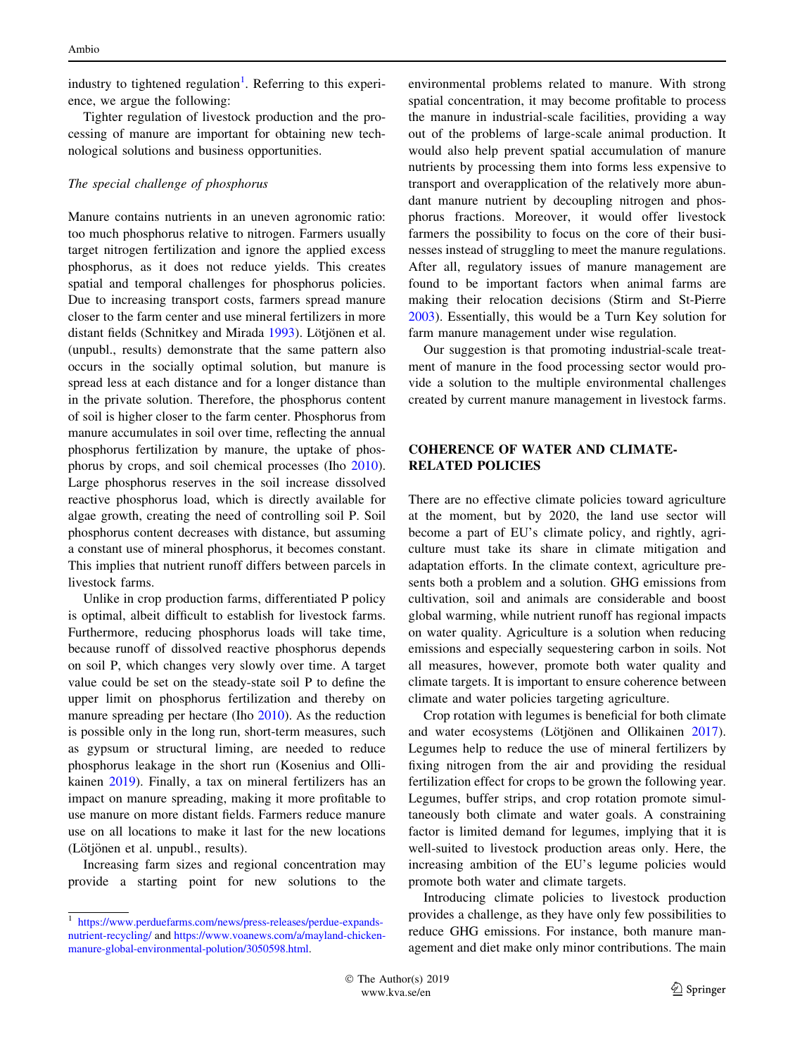industry to tightened regulation<sup>1</sup>. Referring to this experience, we argue the following:

Tighter regulation of livestock production and the processing of manure are important for obtaining new technological solutions and business opportunities.

## The special challenge of phosphorus

Manure contains nutrients in an uneven agronomic ratio: too much phosphorus relative to nitrogen. Farmers usually target nitrogen fertilization and ignore the applied excess phosphorus, as it does not reduce yields. This creates spatial and temporal challenges for phosphorus policies. Due to increasing transport costs, farmers spread manure closer to the farm center and use mineral fertilizers in more distant fields (Schnitkey and Mirada [1993](#page-10-0)). Lötjönen et al. (unpubl., results) demonstrate that the same pattern also occurs in the socially optimal solution, but manure is spread less at each distance and for a longer distance than in the private solution. Therefore, the phosphorus content of soil is higher closer to the farm center. Phosphorus from manure accumulates in soil over time, reflecting the annual phosphorus fertilization by manure, the uptake of phosphorus by crops, and soil chemical processes (Iho [2010](#page-9-0)). Large phosphorus reserves in the soil increase dissolved reactive phosphorus load, which is directly available for algae growth, creating the need of controlling soil P. Soil phosphorus content decreases with distance, but assuming a constant use of mineral phosphorus, it becomes constant. This implies that nutrient runoff differs between parcels in livestock farms.

Unlike in crop production farms, differentiated P policy is optimal, albeit difficult to establish for livestock farms. Furthermore, reducing phosphorus loads will take time, because runoff of dissolved reactive phosphorus depends on soil P, which changes very slowly over time. A target value could be set on the steady-state soil P to define the upper limit on phosphorus fertilization and thereby on manure spreading per hectare (Iho [2010](#page-9-0)). As the reduction is possible only in the long run, short-term measures, such as gypsum or structural liming, are needed to reduce phosphorus leakage in the short run (Kosenius and Ollikainen [2019\)](#page-10-0). Finally, a tax on mineral fertilizers has an impact on manure spreading, making it more profitable to use manure on more distant fields. Farmers reduce manure use on all locations to make it last for the new locations (Lötjönen et al. unpubl., results).

Increasing farm sizes and regional concentration may provide a starting point for new solutions to the environmental problems related to manure. With strong spatial concentration, it may become profitable to process the manure in industrial-scale facilities, providing a way out of the problems of large-scale animal production. It would also help prevent spatial accumulation of manure nutrients by processing them into forms less expensive to transport and overapplication of the relatively more abundant manure nutrient by decoupling nitrogen and phosphorus fractions. Moreover, it would offer livestock farmers the possibility to focus on the core of their businesses instead of struggling to meet the manure regulations. After all, regulatory issues of manure management are found to be important factors when animal farms are making their relocation decisions (Stirm and St-Pierre [2003](#page-10-0)). Essentially, this would be a Turn Key solution for farm manure management under wise regulation.

Our suggestion is that promoting industrial-scale treatment of manure in the food processing sector would provide a solution to the multiple environmental challenges created by current manure management in livestock farms.

# COHERENCE OF WATER AND CLIMATE-RELATED POLICIES

There are no effective climate policies toward agriculture at the moment, but by 2020, the land use sector will become a part of EU's climate policy, and rightly, agriculture must take its share in climate mitigation and adaptation efforts. In the climate context, agriculture presents both a problem and a solution. GHG emissions from cultivation, soil and animals are considerable and boost global warming, while nutrient runoff has regional impacts on water quality. Agriculture is a solution when reducing emissions and especially sequestering carbon in soils. Not all measures, however, promote both water quality and climate targets. It is important to ensure coherence between climate and water policies targeting agriculture.

Crop rotation with legumes is beneficial for both climate and water ecosystems (Lötjönen and Ollikainen [2017](#page-10-0)). Legumes help to reduce the use of mineral fertilizers by fixing nitrogen from the air and providing the residual fertilization effect for crops to be grown the following year. Legumes, buffer strips, and crop rotation promote simultaneously both climate and water goals. A constraining factor is limited demand for legumes, implying that it is well-suited to livestock production areas only. Here, the increasing ambition of the EU's legume policies would promote both water and climate targets.

Introducing climate policies to livestock production provides a challenge, as they have only few possibilities to reduce GHG emissions. For instance, both manure management and diet make only minor contributions. The main

<sup>1</sup> [https://www.perduefarms.com/news/press-releases/perdue-expands](https://www.perduefarms.com/news/press-releases/perdue-expands-nutrient-recycling/)[nutrient-recycling/](https://www.perduefarms.com/news/press-releases/perdue-expands-nutrient-recycling/) and [https://www.voanews.com/a/mayland-chicken](https://www.voanews.com/a/mayland-chicken-manure-global-environmental-polution/3050598.html)[manure-global-environmental-polution/3050598.html](https://www.voanews.com/a/mayland-chicken-manure-global-environmental-polution/3050598.html).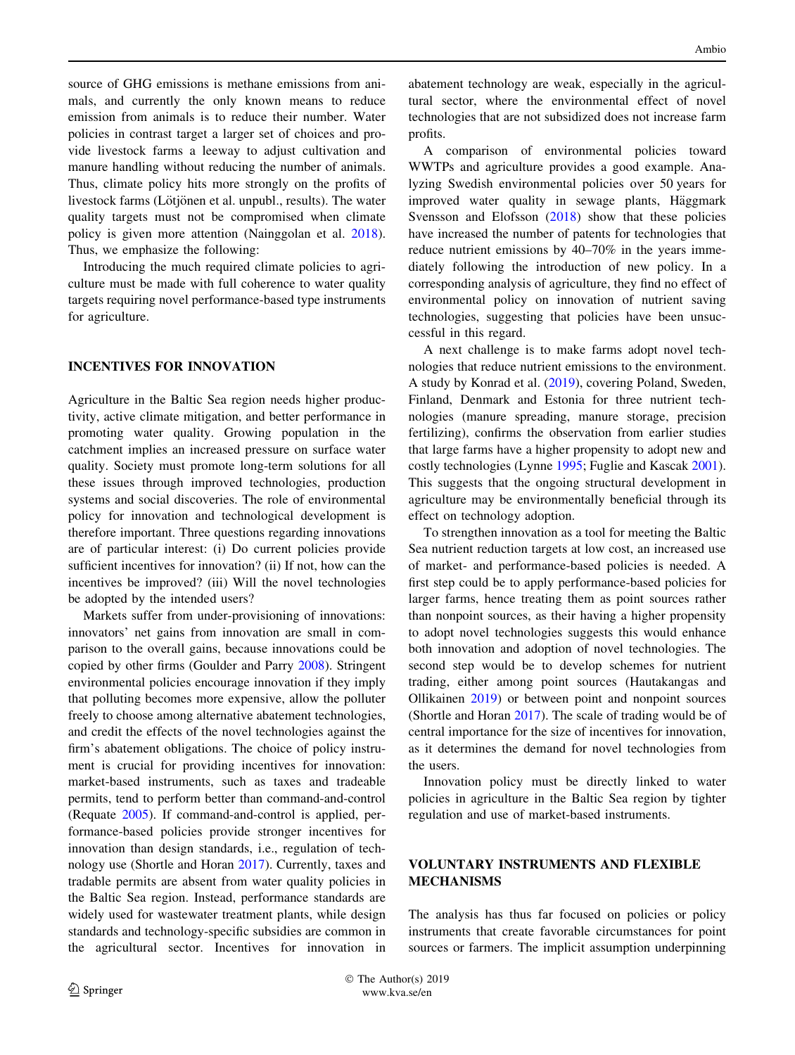source of GHG emissions is methane emissions from animals, and currently the only known means to reduce emission from animals is to reduce their number. Water policies in contrast target a larger set of choices and provide livestock farms a leeway to adjust cultivation and manure handling without reducing the number of animals. Thus, climate policy hits more strongly on the profits of livestock farms (Lötjönen et al. unpubl., results). The water quality targets must not be compromised when climate policy is given more attention (Nainggolan et al. [2018](#page-10-0)). Thus, we emphasize the following:

Introducing the much required climate policies to agriculture must be made with full coherence to water quality targets requiring novel performance-based type instruments for agriculture.

# INCENTIVES FOR INNOVATION

Agriculture in the Baltic Sea region needs higher productivity, active climate mitigation, and better performance in promoting water quality. Growing population in the catchment implies an increased pressure on surface water quality. Society must promote long-term solutions for all these issues through improved technologies, production systems and social discoveries. The role of environmental policy for innovation and technological development is therefore important. Three questions regarding innovations are of particular interest: (i) Do current policies provide sufficient incentives for innovation? (ii) If not, how can the incentives be improved? (iii) Will the novel technologies be adopted by the intended users?

Markets suffer from under-provisioning of innovations: innovators' net gains from innovation are small in comparison to the overall gains, because innovations could be copied by other firms (Goulder and Parry [2008](#page-9-0)). Stringent environmental policies encourage innovation if they imply that polluting becomes more expensive, allow the polluter freely to choose among alternative abatement technologies, and credit the effects of the novel technologies against the firm's abatement obligations. The choice of policy instrument is crucial for providing incentives for innovation: market-based instruments, such as taxes and tradeable permits, tend to perform better than command-and-control (Requate [2005](#page-10-0)). If command-and-control is applied, performance-based policies provide stronger incentives for innovation than design standards, i.e., regulation of technology use (Shortle and Horan [2017\)](#page-10-0). Currently, taxes and tradable permits are absent from water quality policies in the Baltic Sea region. Instead, performance standards are widely used for wastewater treatment plants, while design standards and technology-specific subsidies are common in the agricultural sector. Incentives for innovation in

abatement technology are weak, especially in the agricultural sector, where the environmental effect of novel technologies that are not subsidized does not increase farm profits.

A comparison of environmental policies toward WWTPs and agriculture provides a good example. Analyzing Swedish environmental policies over 50 years for improved water quality in sewage plants, Häggmark Svensson and Elofsson [\(2018](#page-9-0)) show that these policies have increased the number of patents for technologies that reduce nutrient emissions by 40–70% in the years immediately following the introduction of new policy. In a corresponding analysis of agriculture, they find no effect of environmental policy on innovation of nutrient saving technologies, suggesting that policies have been unsuccessful in this regard.

A next challenge is to make farms adopt novel technologies that reduce nutrient emissions to the environment. A study by Konrad et al. [\(2019](#page-10-0)), covering Poland, Sweden, Finland, Denmark and Estonia for three nutrient technologies (manure spreading, manure storage, precision fertilizing), confirms the observation from earlier studies that large farms have a higher propensity to adopt new and costly technologies (Lynne [1995;](#page-10-0) Fuglie and Kascak [2001](#page-9-0)). This suggests that the ongoing structural development in agriculture may be environmentally beneficial through its effect on technology adoption.

To strengthen innovation as a tool for meeting the Baltic Sea nutrient reduction targets at low cost, an increased use of market- and performance-based policies is needed. A first step could be to apply performance-based policies for larger farms, hence treating them as point sources rather than nonpoint sources, as their having a higher propensity to adopt novel technologies suggests this would enhance both innovation and adoption of novel technologies. The second step would be to develop schemes for nutrient trading, either among point sources (Hautakangas and Ollikainen [2019\)](#page-9-0) or between point and nonpoint sources (Shortle and Horan [2017](#page-10-0)). The scale of trading would be of central importance for the size of incentives for innovation, as it determines the demand for novel technologies from the users.

Innovation policy must be directly linked to water policies in agriculture in the Baltic Sea region by tighter regulation and use of market-based instruments.

# VOLUNTARY INSTRUMENTS AND FLEXIBLE MECHANISMS

The analysis has thus far focused on policies or policy instruments that create favorable circumstances for point sources or farmers. The implicit assumption underpinning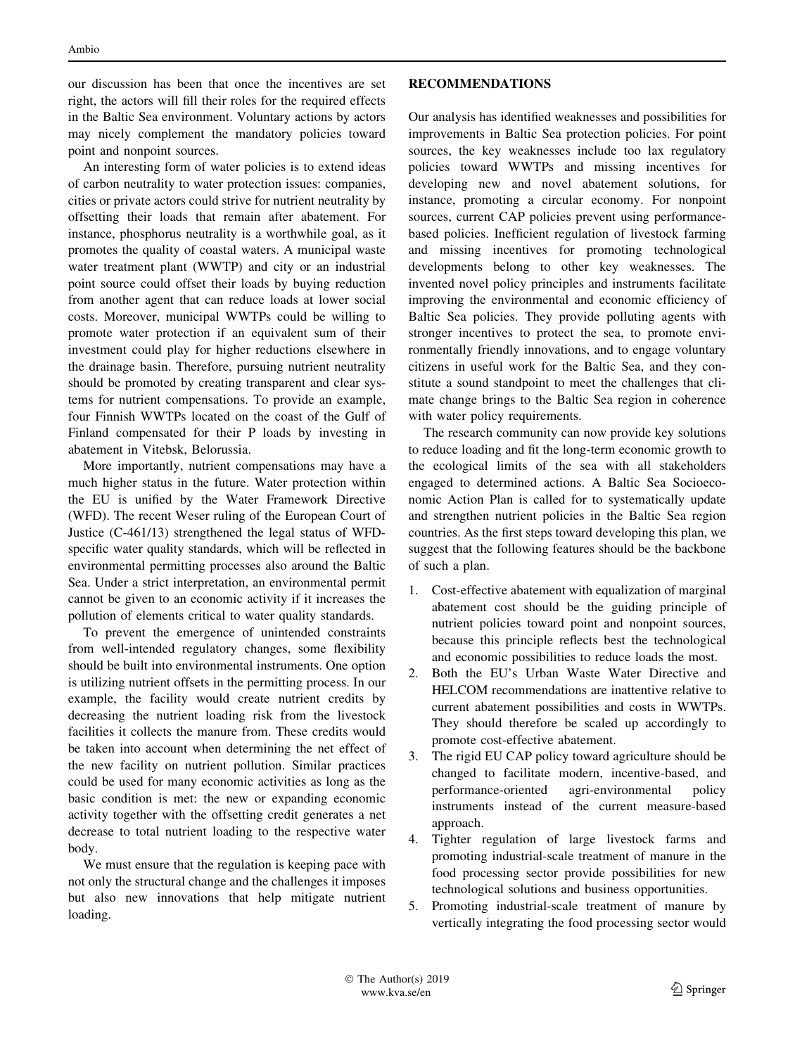our discussion has been that once the incentives are set right, the actors will fill their roles for the required effects in the Baltic Sea environment. Voluntary actions by actors may nicely complement the mandatory policies toward point and nonpoint sources.

An interesting form of water policies is to extend ideas of carbon neutrality to water protection issues: companies, cities or private actors could strive for nutrient neutrality by offsetting their loads that remain after abatement. For instance, phosphorus neutrality is a worthwhile goal, as it promotes the quality of coastal waters. A municipal waste water treatment plant (WWTP) and city or an industrial point source could offset their loads by buying reduction from another agent that can reduce loads at lower social costs. Moreover, municipal WWTPs could be willing to promote water protection if an equivalent sum of their investment could play for higher reductions elsewhere in the drainage basin. Therefore, pursuing nutrient neutrality should be promoted by creating transparent and clear systems for nutrient compensations. To provide an example, four Finnish WWTPs located on the coast of the Gulf of Finland compensated for their P loads by investing in abatement in Vitebsk, Belorussia.

More importantly, nutrient compensations may have a much higher status in the future. Water protection within the EU is unified by the Water Framework Directive (WFD). The recent Weser ruling of the European Court of Justice (C-461/13) strengthened the legal status of WFDspecific water quality standards, which will be reflected in environmental permitting processes also around the Baltic Sea. Under a strict interpretation, an environmental permit cannot be given to an economic activity if it increases the pollution of elements critical to water quality standards.

To prevent the emergence of unintended constraints from well-intended regulatory changes, some flexibility should be built into environmental instruments. One option is utilizing nutrient offsets in the permitting process. In our example, the facility would create nutrient credits by decreasing the nutrient loading risk from the livestock facilities it collects the manure from. These credits would be taken into account when determining the net effect of the new facility on nutrient pollution. Similar practices could be used for many economic activities as long as the basic condition is met: the new or expanding economic activity together with the offsetting credit generates a net decrease to total nutrient loading to the respective water body.

We must ensure that the regulation is keeping pace with not only the structural change and the challenges it imposes but also new innovations that help mitigate nutrient loading.

## RECOMMENDATIONS

Our analysis has identified weaknesses and possibilities for improvements in Baltic Sea protection policies. For point sources, the key weaknesses include too lax regulatory policies toward WWTPs and missing incentives for developing new and novel abatement solutions, for instance, promoting a circular economy. For nonpoint sources, current CAP policies prevent using performancebased policies. Inefficient regulation of livestock farming and missing incentives for promoting technological developments belong to other key weaknesses. The invented novel policy principles and instruments facilitate improving the environmental and economic efficiency of Baltic Sea policies. They provide polluting agents with stronger incentives to protect the sea, to promote environmentally friendly innovations, and to engage voluntary citizens in useful work for the Baltic Sea, and they constitute a sound standpoint to meet the challenges that climate change brings to the Baltic Sea region in coherence with water policy requirements.

The research community can now provide key solutions to reduce loading and fit the long-term economic growth to the ecological limits of the sea with all stakeholders engaged to determined actions. A Baltic Sea Socioeconomic Action Plan is called for to systematically update and strengthen nutrient policies in the Baltic Sea region countries. As the first steps toward developing this plan, we suggest that the following features should be the backbone of such a plan.

- 1. Cost-effective abatement with equalization of marginal abatement cost should be the guiding principle of nutrient policies toward point and nonpoint sources, because this principle reflects best the technological and economic possibilities to reduce loads the most.
- 2. Both the EU's Urban Waste Water Directive and HELCOM recommendations are inattentive relative to current abatement possibilities and costs in WWTPs. They should therefore be scaled up accordingly to promote cost-effective abatement.
- 3. The rigid EU CAP policy toward agriculture should be changed to facilitate modern, incentive-based, and performance-oriented agri-environmental policy instruments instead of the current measure-based approach.
- 4. Tighter regulation of large livestock farms and promoting industrial-scale treatment of manure in the food processing sector provide possibilities for new technological solutions and business opportunities.
- 5. Promoting industrial-scale treatment of manure by vertically integrating the food processing sector would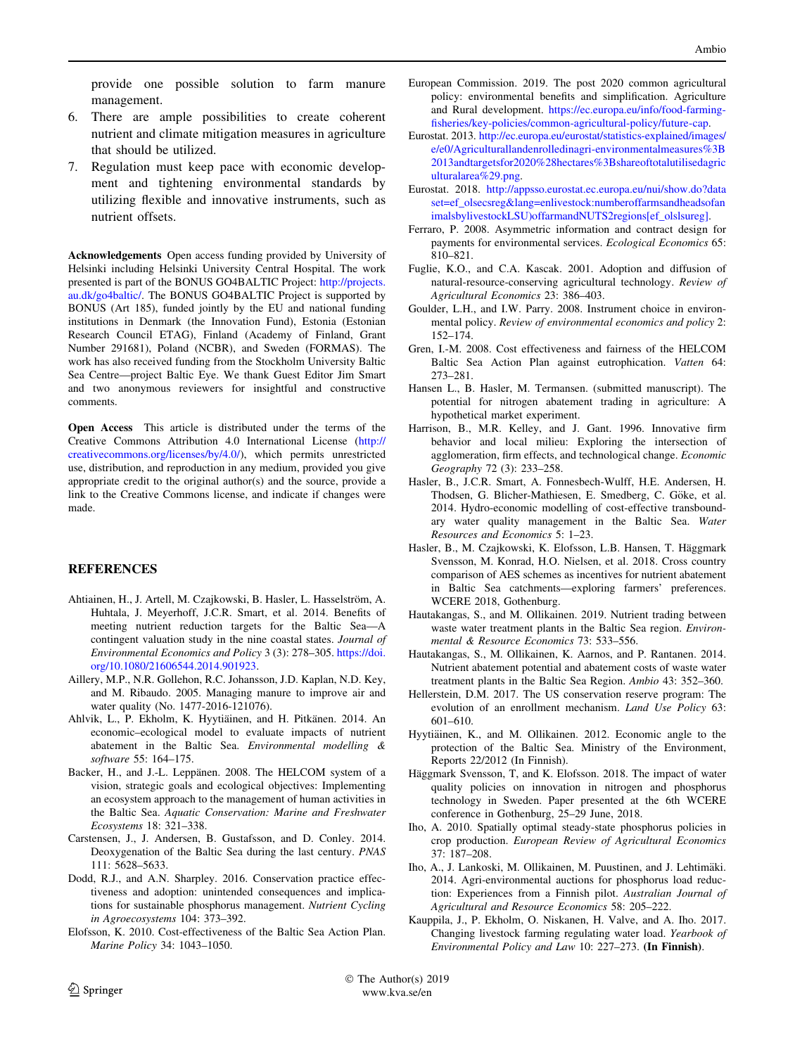<span id="page-9-0"></span>provide one possible solution to farm manure management.

- 6. There are ample possibilities to create coherent nutrient and climate mitigation measures in agriculture that should be utilized.
- 7. Regulation must keep pace with economic development and tightening environmental standards by utilizing flexible and innovative instruments, such as nutrient offsets.

Acknowledgements Open access funding provided by University of Helsinki including Helsinki University Central Hospital. The work presented is part of the BONUS GO4BALTIC Project: [http://projects.](http://projects.au.dk/go4baltic/) [au.dk/go4baltic/](http://projects.au.dk/go4baltic/). The BONUS GO4BALTIC Project is supported by BONUS (Art 185), funded jointly by the EU and national funding institutions in Denmark (the Innovation Fund), Estonia (Estonian Research Council ETAG), Finland (Academy of Finland, Grant Number 291681), Poland (NCBR), and Sweden (FORMAS). The work has also received funding from the Stockholm University Baltic Sea Centre—project Baltic Eye. We thank Guest Editor Jim Smart and two anonymous reviewers for insightful and constructive comments.

Open Access This article is distributed under the terms of the Creative Commons Attribution 4.0 International License ([http://](http://creativecommons.org/licenses/by/4.0/) [creativecommons.org/licenses/by/4.0/\)](http://creativecommons.org/licenses/by/4.0/), which permits unrestricted use, distribution, and reproduction in any medium, provided you give appropriate credit to the original author(s) and the source, provide a link to the Creative Commons license, and indicate if changes were made.

#### **REFERENCES**

- Ahtiainen, H., J. Artell, M. Czajkowski, B. Hasler, L. Hasselström, A. Huhtala, J. Meyerhoff, J.C.R. Smart, et al. 2014. Benefits of meeting nutrient reduction targets for the Baltic Sea—A contingent valuation study in the nine coastal states. Journal of Environmental Economics and Policy 3 (3): 278–305. [https://doi.](https://doi.org/10.1080/21606544.2014.901923) [org/10.1080/21606544.2014.901923](https://doi.org/10.1080/21606544.2014.901923).
- Aillery, M.P., N.R. Gollehon, R.C. Johansson, J.D. Kaplan, N.D. Key, and M. Ribaudo. 2005. Managing manure to improve air and water quality (No. 1477-2016-121076).
- Ahlvik, L., P. Ekholm, K. Hyytiäinen, and H. Pitkänen. 2014. An economic–ecological model to evaluate impacts of nutrient abatement in the Baltic Sea. Environmental modelling & software 55: 164–175.
- Backer, H., and J.-L. Leppänen. 2008. The HELCOM system of a vision, strategic goals and ecological objectives: Implementing an ecosystem approach to the management of human activities in the Baltic Sea. Aquatic Conservation: Marine and Freshwater Ecosystems 18: 321–338.
- Carstensen, J., J. Andersen, B. Gustafsson, and D. Conley. 2014. Deoxygenation of the Baltic Sea during the last century. PNAS 111: 5628–5633.
- Dodd, R.J., and A.N. Sharpley. 2016. Conservation practice effectiveness and adoption: unintended consequences and implications for sustainable phosphorus management. Nutrient Cycling in Agroecosystems 104: 373–392.
- Elofsson, K. 2010. Cost-effectiveness of the Baltic Sea Action Plan. Marine Policy 34: 1043–1050.
- European Commission. 2019. The post 2020 common agricultural policy: environmental benefits and simplification. Agriculture and Rural development. [https://ec.europa.eu/info/food-farming](https://ec.europa.eu/info/food-farming-fisheries/key-policies/common-agricultural-policy/future-cap)[fisheries/key-policies/common-agricultural-policy/future-cap.](https://ec.europa.eu/info/food-farming-fisheries/key-policies/common-agricultural-policy/future-cap)
- Eurostat. 2013. [http://ec.europa.eu/eurostat/statistics-explained/images/](http://ec.europa.eu/eurostat/statistics-explained/images/e/e0/Agriculturallandenrolledinagri-environmentalmeasures%253B2013andtargetsfor2020%2528hectares%253Bshareoftotalutilisedagriculturalarea%2529.png) [e/e0/Agriculturallandenrolledinagri-environmentalmeasures%3B](http://ec.europa.eu/eurostat/statistics-explained/images/e/e0/Agriculturallandenrolledinagri-environmentalmeasures%253B2013andtargetsfor2020%2528hectares%253Bshareoftotalutilisedagriculturalarea%2529.png) [2013andtargetsfor2020%28hectares%3Bshareoftotalutilisedagric](http://ec.europa.eu/eurostat/statistics-explained/images/e/e0/Agriculturallandenrolledinagri-environmentalmeasures%253B2013andtargetsfor2020%2528hectares%253Bshareoftotalutilisedagriculturalarea%2529.png) [ulturalarea%29.png.](http://ec.europa.eu/eurostat/statistics-explained/images/e/e0/Agriculturallandenrolledinagri-environmentalmeasures%253B2013andtargetsfor2020%2528hectares%253Bshareoftotalutilisedagriculturalarea%2529.png)
- Eurostat. 2018. [http://appsso.eurostat.ec.europa.eu/nui/show.do?data](http://appsso.eurostat.ec.europa.eu/nui/show.do%3fdataset%3def_olsecsreg%26lang%3denlivestock:numberoffarmsandheadsofanimalsbylivestockLSU)offarmandNUTS2regions%5bef_olslsureg%5d) [set=ef\\_olsecsreg&lang=enlivestock:numberoffarmsandheadsofan](http://appsso.eurostat.ec.europa.eu/nui/show.do%3fdataset%3def_olsecsreg%26lang%3denlivestock:numberoffarmsandheadsofanimalsbylivestockLSU)offarmandNUTS2regions%5bef_olslsureg%5d) [imalsbylivestockLSU\)offarmandNUTS2regions\[ef\\_olslsureg\].](http://appsso.eurostat.ec.europa.eu/nui/show.do%3fdataset%3def_olsecsreg%26lang%3denlivestock:numberoffarmsandheadsofanimalsbylivestockLSU)offarmandNUTS2regions%5bef_olslsureg%5d)
- Ferraro, P. 2008. Asymmetric information and contract design for payments for environmental services. Ecological Economics 65: 810–821.
- Fuglie, K.O., and C.A. Kascak. 2001. Adoption and diffusion of natural-resource-conserving agricultural technology. Review of Agricultural Economics 23: 386–403.
- Goulder, L.H., and I.W. Parry. 2008. Instrument choice in environmental policy. Review of environmental economics and policy 2: 152–174.
- Gren, I.-M. 2008. Cost effectiveness and fairness of the HELCOM Baltic Sea Action Plan against eutrophication. Vatten 64: 273–281.
- Hansen L., B. Hasler, M. Termansen. (submitted manuscript). The potential for nitrogen abatement trading in agriculture: A hypothetical market experiment.
- Harrison, B., M.R. Kelley, and J. Gant. 1996. Innovative firm behavior and local milieu: Exploring the intersection of agglomeration, firm effects, and technological change. Economic Geography 72 (3): 233–258.
- Hasler, B., J.C.R. Smart, A. Fonnesbech-Wulff, H.E. Andersen, H. Thodsen, G. Blicher-Mathiesen, E. Smedberg, C. Göke, et al. 2014. Hydro-economic modelling of cost-effective transboundary water quality management in the Baltic Sea. Water Resources and Economics 5: 1–23.
- Hasler, B., M. Czajkowski, K. Elofsson, L.B. Hansen, T. Häggmark Svensson, M. Konrad, H.O. Nielsen, et al. 2018. Cross country comparison of AES schemes as incentives for nutrient abatement in Baltic Sea catchments—exploring farmers' preferences. WCERE 2018, Gothenburg.
- Hautakangas, S., and M. Ollikainen. 2019. Nutrient trading between waste water treatment plants in the Baltic Sea region. Environmental & Resource Economics 73: 533–556.
- Hautakangas, S., M. Ollikainen, K. Aarnos, and P. Rantanen. 2014. Nutrient abatement potential and abatement costs of waste water treatment plants in the Baltic Sea Region. Ambio 43: 352–360.
- Hellerstein, D.M. 2017. The US conservation reserve program: The evolution of an enrollment mechanism. Land Use Policy 63: 601–610.
- Hyytiäinen, K., and M. Ollikainen. 2012. Economic angle to the protection of the Baltic Sea. Ministry of the Environment, Reports 22/2012 (In Finnish).
- Häggmark Svensson, T, and K. Elofsson. 2018. The impact of water quality policies on innovation in nitrogen and phosphorus technology in Sweden. Paper presented at the 6th WCERE conference in Gothenburg, 25–29 June, 2018.
- Iho, A. 2010. Spatially optimal steady-state phosphorus policies in crop production. European Review of Agricultural Economics 37: 187–208.
- Iho, A., J. Lankoski, M. Ollikainen, M. Puustinen, and J. Lehtimäki. 2014. Agri-environmental auctions for phosphorus load reduction: Experiences from a Finnish pilot. Australian Journal of Agricultural and Resource Economics 58: 205–222.
- Kauppila, J., P. Ekholm, O. Niskanen, H. Valve, and A. Iho. 2017. Changing livestock farming regulating water load. Yearbook of Environmental Policy and Law 10: 227–273. (In Finnish).

 The Author(s) 2019 www.kva.se/en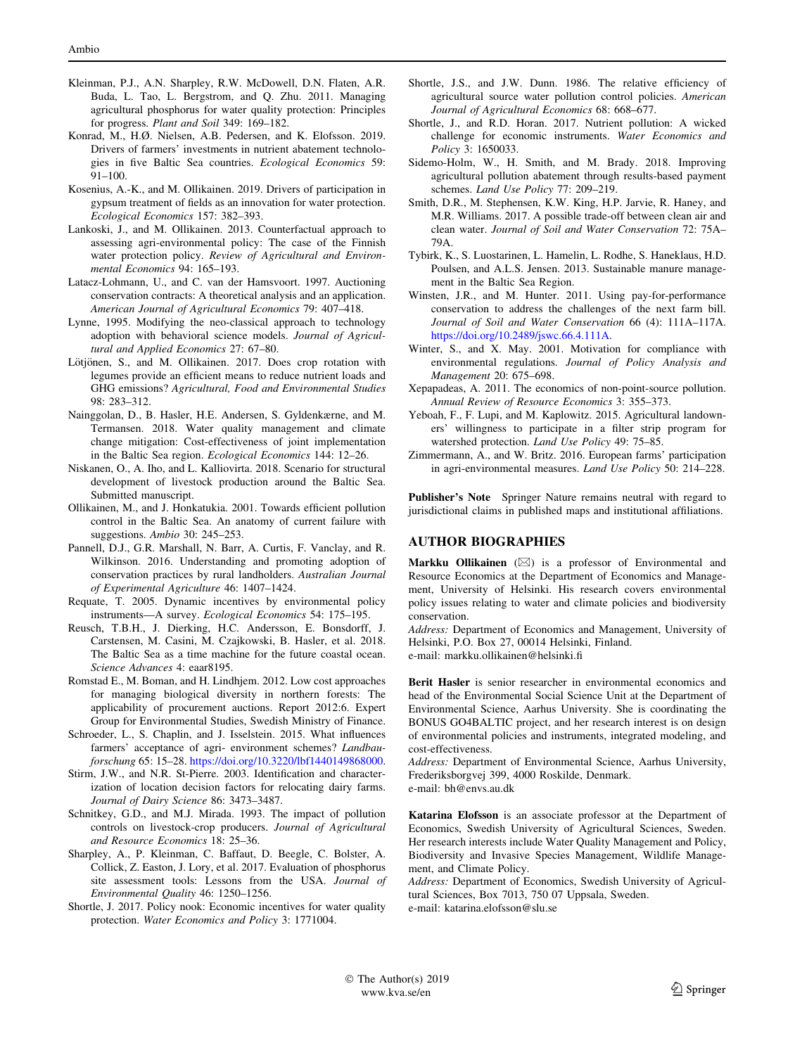- <span id="page-10-0"></span>Kleinman, P.J., A.N. Sharpley, R.W. McDowell, D.N. Flaten, A.R. Buda, L. Tao, L. Bergstrom, and Q. Zhu. 2011. Managing agricultural phosphorus for water quality protection: Principles for progress. Plant and Soil 349: 169–182.
- Konrad, M., H.Ø. Nielsen, A.B. Pedersen, and K. Elofsson. 2019. Drivers of farmers' investments in nutrient abatement technologies in five Baltic Sea countries. Ecological Economics 59: 91–100.
- Kosenius, A.-K., and M. Ollikainen. 2019. Drivers of participation in gypsum treatment of fields as an innovation for water protection. Ecological Economics 157: 382–393.
- Lankoski, J., and M. Ollikainen. 2013. Counterfactual approach to assessing agri-environmental policy: The case of the Finnish water protection policy. Review of Agricultural and Environmental Economics 94: 165–193.
- Latacz-Lohmann, U., and C. van der Hamsvoort. 1997. Auctioning conservation contracts: A theoretical analysis and an application. American Journal of Agricultural Economics 79: 407–418.
- Lynne, 1995. Modifying the neo-classical approach to technology adoption with behavioral science models. Journal of Agricultural and Applied Economics 27: 67–80.
- Lötjönen, S., and M. Ollikainen. 2017. Does crop rotation with legumes provide an efficient means to reduce nutrient loads and GHG emissions? Agricultural, Food and Environmental Studies 98: 283–312.
- Nainggolan, D., B. Hasler, H.E. Andersen, S. Gyldenkærne, and M. Termansen. 2018. Water quality management and climate change mitigation: Cost-effectiveness of joint implementation in the Baltic Sea region. Ecological Economics 144: 12–26.
- Niskanen, O., A. Iho, and L. Kalliovirta. 2018. Scenario for structural development of livestock production around the Baltic Sea. Submitted manuscript.
- Ollikainen, M., and J. Honkatukia. 2001. Towards efficient pollution control in the Baltic Sea. An anatomy of current failure with suggestions. Ambio 30: 245–253.
- Pannell, D.J., G.R. Marshall, N. Barr, A. Curtis, F. Vanclay, and R. Wilkinson. 2016. Understanding and promoting adoption of conservation practices by rural landholders. Australian Journal of Experimental Agriculture 46: 1407–1424.
- Requate, T. 2005. Dynamic incentives by environmental policy instruments—A survey. Ecological Economics 54: 175–195.
- Reusch, T.B.H., J. Dierking, H.C. Andersson, E. Bonsdorff, J. Carstensen, M. Casini, M. Czajkowski, B. Hasler, et al. 2018. The Baltic Sea as a time machine for the future coastal ocean. Science Advances 4: eaar8195.
- Romstad E., M. Boman, and H. Lindhjem. 2012. Low cost approaches for managing biological diversity in northern forests: The applicability of procurement auctions. Report 2012:6. Expert Group for Environmental Studies, Swedish Ministry of Finance.
- Schroeder, L., S. Chaplin, and J. Isselstein. 2015. What influences farmers' acceptance of agri- environment schemes? Landbauforschung 65: 15–28. <https://doi.org/10.3220/lbf1440149868000>.
- Stirm, J.W., and N.R. St-Pierre. 2003. Identification and characterization of location decision factors for relocating dairy farms. Journal of Dairy Science 86: 3473–3487.
- Schnitkey, G.D., and M.J. Mirada. 1993. The impact of pollution controls on livestock-crop producers. Journal of Agricultural and Resource Economics 18: 25–36.
- Sharpley, A., P. Kleinman, C. Baffaut, D. Beegle, C. Bolster, A. Collick, Z. Easton, J. Lory, et al. 2017. Evaluation of phosphorus site assessment tools: Lessons from the USA. Journal of Environmental Quality 46: 1250–1256.
- Shortle, J. 2017. Policy nook: Economic incentives for water quality protection. Water Economics and Policy 3: 1771004.
- Shortle, J.S., and J.W. Dunn. 1986. The relative efficiency of agricultural source water pollution control policies. American Journal of Agricultural Economics 68: 668–677.
- Shortle, J., and R.D. Horan. 2017. Nutrient pollution: A wicked challenge for economic instruments. Water Economics and Policy 3: 1650033.
- Sidemo-Holm, W., H. Smith, and M. Brady. 2018. Improving agricultural pollution abatement through results-based payment schemes. Land Use Policy 77: 209-219.
- Smith, D.R., M. Stephensen, K.W. King, H.P. Jarvie, R. Haney, and M.R. Williams. 2017. A possible trade-off between clean air and clean water. Journal of Soil and Water Conservation 72: 75A– 79A.
- Tybirk, K., S. Luostarinen, L. Hamelin, L. Rodhe, S. Haneklaus, H.D. Poulsen, and A.L.S. Jensen. 2013. Sustainable manure management in the Baltic Sea Region.
- Winsten, J.R., and M. Hunter. 2011. Using pay-for-performance conservation to address the challenges of the next farm bill. Journal of Soil and Water Conservation 66 (4): 111A–117A. [https://doi.org/10.2489/jswc.66.4.111A.](https://doi.org/10.2489/jswc.66.4.111A)
- Winter, S., and X. May. 2001. Motivation for compliance with environmental regulations. Journal of Policy Analysis and Management 20: 675–698.
- Xepapadeas, A. 2011. The economics of non-point-source pollution. Annual Review of Resource Economics 3: 355–373.
- Yeboah, F., F. Lupi, and M. Kaplowitz. 2015. Agricultural landowners' willingness to participate in a filter strip program for watershed protection. Land Use Policy 49: 75-85.
- Zimmermann, A., and W. Britz. 2016. European farms' participation in agri-environmental measures. Land Use Policy 50: 214–228.

Publisher's Note Springer Nature remains neutral with regard to jurisdictional claims in published maps and institutional affiliations.

## AUTHOR BIOGRAPHIES

Markku Ollikainen  $(\boxtimes)$  is a professor of Environmental and Resource Economics at the Department of Economics and Management, University of Helsinki. His research covers environmental policy issues relating to water and climate policies and biodiversity conservation.

Address: Department of Economics and Management, University of Helsinki, P.O. Box 27, 00014 Helsinki, Finland.

e-mail: markku.ollikainen@helsinki.fi

Berit Hasler is senior researcher in environmental economics and head of the Environmental Social Science Unit at the Department of Environmental Science, Aarhus University. She is coordinating the BONUS GO4BALTIC project, and her research interest is on design of environmental policies and instruments, integrated modeling, and cost-effectiveness.

Address: Department of Environmental Science, Aarhus University, Frederiksborgvej 399, 4000 Roskilde, Denmark.

e-mail: bh@envs.au.dk

Katarina Elofsson is an associate professor at the Department of Economics, Swedish University of Agricultural Sciences, Sweden. Her research interests include Water Quality Management and Policy, Biodiversity and Invasive Species Management, Wildlife Management, and Climate Policy.

Address: Department of Economics, Swedish University of Agricultural Sciences, Box 7013, 750 07 Uppsala, Sweden. e-mail: katarina.elofsson@slu.se